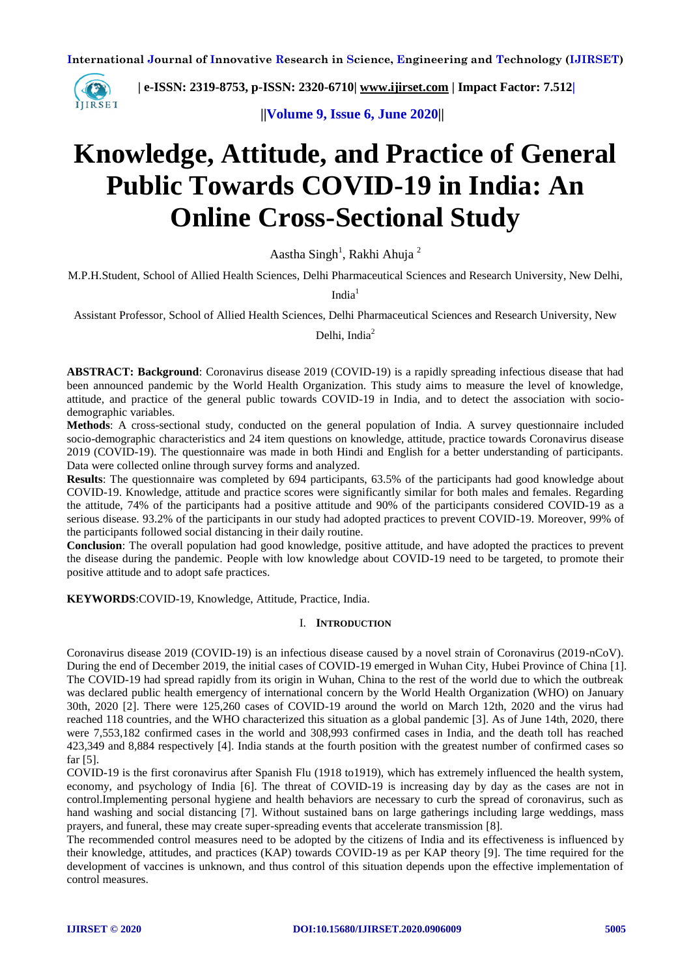

 **| e-ISSN: 2319-8753, p-ISSN: 2320-6710| [www.ijirset.com](http://www.ijirset.com/) | Impact Factor: 7.512|**

 **||Volume 9, Issue 6, June 2020||** 

# **Knowledge, Attitude, and Practice of General Public Towards COVID-19 in India: An Online Cross-Sectional Study**

Aastha Singh<sup>1</sup>, Rakhi Ahuja<sup>2</sup>

M.P.H.Student, School of Allied Health Sciences, Delhi Pharmaceutical Sciences and Research University, New Delhi,

India<sup>1</sup>

Assistant Professor, School of Allied Health Sciences, Delhi Pharmaceutical Sciences and Research University, New

Delhi, India $2$ 

**ABSTRACT: Background**: Coronavirus disease 2019 (COVID-19) is a rapidly spreading infectious disease that had been announced pandemic by the World Health Organization. This study aims to measure the level of knowledge, attitude, and practice of the general public towards COVID-19 in India, and to detect the association with sociodemographic variables.

**Methods**: A cross-sectional study, conducted on the general population of India. A survey questionnaire included socio-demographic characteristics and 24 item questions on knowledge, attitude, practice towards Coronavirus disease 2019 (COVID-19). The questionnaire was made in both Hindi and English for a better understanding of participants. Data were collected online through survey forms and analyzed.

**Results**: The questionnaire was completed by 694 participants, 63.5% of the participants had good knowledge about COVID-19. Knowledge, attitude and practice scores were significantly similar for both males and females. Regarding the attitude, 74% of the participants had a positive attitude and 90% of the participants considered COVID-19 as a serious disease. 93.2% of the participants in our study had adopted practices to prevent COVID-19. Moreover, 99% of the participants followed social distancing in their daily routine.

**Conclusion**: The overall population had good knowledge, positive attitude, and have adopted the practices to prevent the disease during the pandemic. People with low knowledge about COVID-19 need to be targeted, to promote their positive attitude and to adopt safe practices.

**KEYWORDS**:COVID-19, Knowledge, Attitude, Practice, India.

#### I. **INTRODUCTION**

Coronavirus disease 2019 (COVID-19) is an infectious disease caused by a novel strain of Coronavirus (2019-nCoV). During the end of December 2019, the initial cases of COVID-19 emerged in Wuhan City, Hubei Province of China [1]. The COVID-19 had spread rapidly from its origin in Wuhan, China to the rest of the world due to which the outbreak was declared public health emergency of international concern by the World Health Organization (WHO) on January 30th, 2020 [2]. There were 125,260 cases of COVID-19 around the world on March 12th, 2020 and the virus had reached 118 countries, and the WHO characterized this situation as a global pandemic [3]. As of June 14th, 2020, there were 7,553,182 confirmed cases in the world and 308,993 confirmed cases in India, and the death toll has reached 423,349 and 8,884 respectively [4]. India stands at the fourth position with the greatest number of confirmed cases so far [5].

COVID-19 is the first coronavirus after Spanish Flu (1918 to1919), which has extremely influenced the health system, economy, and psychology of India [6]. The threat of COVID-19 is increasing day by day as the cases are not in control.Implementing personal hygiene and health behaviors are necessary to curb the spread of coronavirus, such as hand washing and social distancing [7]. Without sustained bans on large gatherings including large weddings, mass prayers, and funeral, these may create super-spreading events that accelerate transmission [8].

The recommended control measures need to be adopted by the citizens of India and its effectiveness is influenced by their knowledge, attitudes, and practices (KAP) towards COVID-19 as per KAP theory [9]. The time required for the development of vaccines is unknown, and thus control of this situation depends upon the effective implementation of control measures.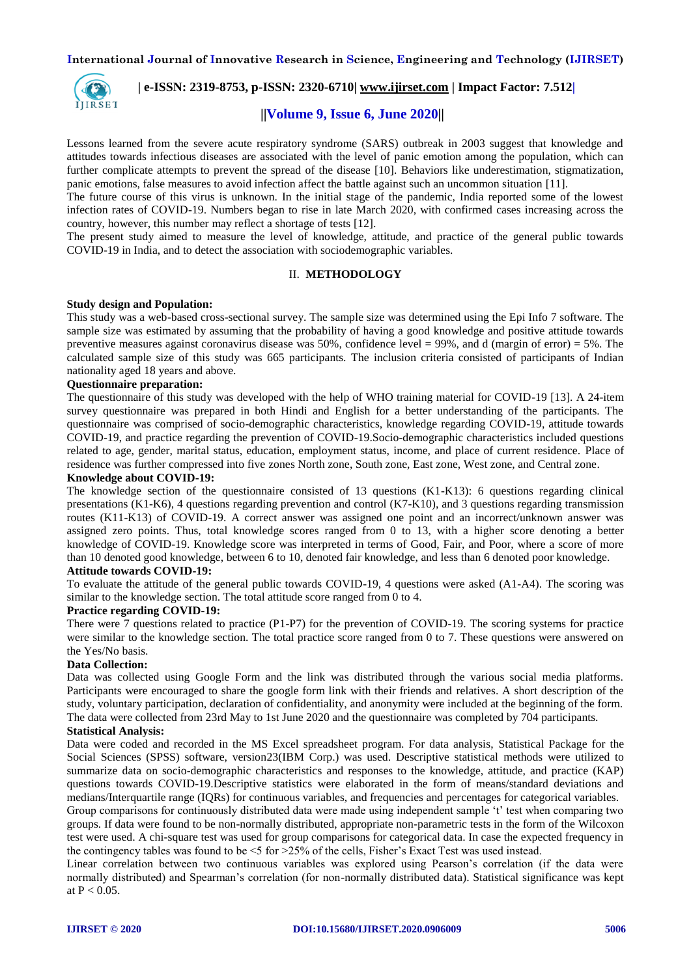

## **| e-ISSN: 2319-8753, p-ISSN: 2320-6710| [www.ijirset.com](http://www.ijirset.com/) | Impact Factor: 7.512|**

# **||Volume 9, Issue 6, June 2020||**

Lessons learned from the severe acute respiratory syndrome (SARS) outbreak in 2003 suggest that knowledge and attitudes towards infectious diseases are associated with the level of panic emotion among the population, which can further complicate attempts to prevent the spread of the disease [10]. Behaviors like underestimation, stigmatization, panic emotions, false measures to avoid infection affect the battle against such an uncommon situation [11].

The future course of this virus is unknown. In the initial stage of the pandemic, India reported some of the lowest infection rates of COVID-19. Numbers began to rise in late March 2020, with confirmed cases increasing across the country, however, this number may reflect a shortage of tests [12].

The present study aimed to measure the level of knowledge, attitude, and practice of the general public towards COVID-19 in India, and to detect the association with sociodemographic variables.

#### II. **METHODOLOGY**

#### **Study design and Population:**

This study was a web-based cross-sectional survey. The sample size was determined using the Epi Info 7 software. The sample size was estimated by assuming that the probability of having a good knowledge and positive attitude towards preventive measures against coronavirus disease was  $50\%$ , confidence level = 99%, and d (margin of error) = 5%. The calculated sample size of this study was 665 participants. The inclusion criteria consisted of participants of Indian nationality aged 18 years and above.

#### **Questionnaire preparation:**

The questionnaire of this study was developed with the help of WHO training material for COVID-19 [13]. A 24-item survey questionnaire was prepared in both Hindi and English for a better understanding of the participants. The questionnaire was comprised of socio-demographic characteristics, knowledge regarding COVID-19, attitude towards COVID-19, and practice regarding the prevention of COVID-19.Socio-demographic characteristics included questions related to age, gender, marital status, education, employment status, income, and place of current residence. Place of residence was further compressed into five zones North zone, South zone, East zone, West zone, and Central zone.

#### **Knowledge about COVID-19:**

The knowledge section of the questionnaire consisted of 13 questions (K1-K13): 6 questions regarding clinical presentations (K1-K6), 4 questions regarding prevention and control (K7-K10), and 3 questions regarding transmission routes (K11-K13) of COVID-19. A correct answer was assigned one point and an incorrect/unknown answer was assigned zero points. Thus, total knowledge scores ranged from 0 to 13, with a higher score denoting a better knowledge of COVID-19. Knowledge score was interpreted in terms of Good, Fair, and Poor, where a score of more than 10 denoted good knowledge, between 6 to 10, denoted fair knowledge, and less than 6 denoted poor knowledge.

# **Attitude towards COVID-19:**

To evaluate the attitude of the general public towards COVID-19, 4 questions were asked (A1-A4). The scoring was similar to the knowledge section. The total attitude score ranged from 0 to 4.

#### **Practice regarding COVID-19:**

There were 7 questions related to practice (P1-P7) for the prevention of COVID-19. The scoring systems for practice were similar to the knowledge section. The total practice score ranged from 0 to 7. These questions were answered on the Yes/No basis.

#### **Data Collection:**

Data was collected using Google Form and the link was distributed through the various social media platforms. Participants were encouraged to share the google form link with their friends and relatives. A short description of the study, voluntary participation, declaration of confidentiality, and anonymity were included at the beginning of the form. The data were collected from 23rd May to 1st June 2020 and the questionnaire was completed by 704 participants.

## **Statistical Analysis:**

Data were coded and recorded in the MS Excel spreadsheet program. For data analysis, Statistical Package for the Social Sciences (SPSS) software, version23(IBM Corp.) was used. Descriptive statistical methods were utilized to summarize data on socio-demographic characteristics and responses to the knowledge, attitude, and practice (KAP) questions towards COVID-19.Descriptive statistics were elaborated in the form of means/standard deviations and medians/Interquartile range (IQRs) for continuous variables, and frequencies and percentages for categorical variables.

Group comparisons for continuously distributed data were made using independent sample 't' test when comparing two groups. If data were found to be non-normally distributed, appropriate non-parametric tests in the form of the Wilcoxon test were used. A chi-square test was used for group comparisons for categorical data. In case the expected frequency in the contingency tables was found to be <5 for >25% of the cells, Fisher's Exact Test was used instead.

Linear correlation between two continuous variables was explored using Pearson's correlation (if the data were normally distributed) and Spearman's correlation (for non-normally distributed data). Statistical significance was kept at  $P < 0.05$ .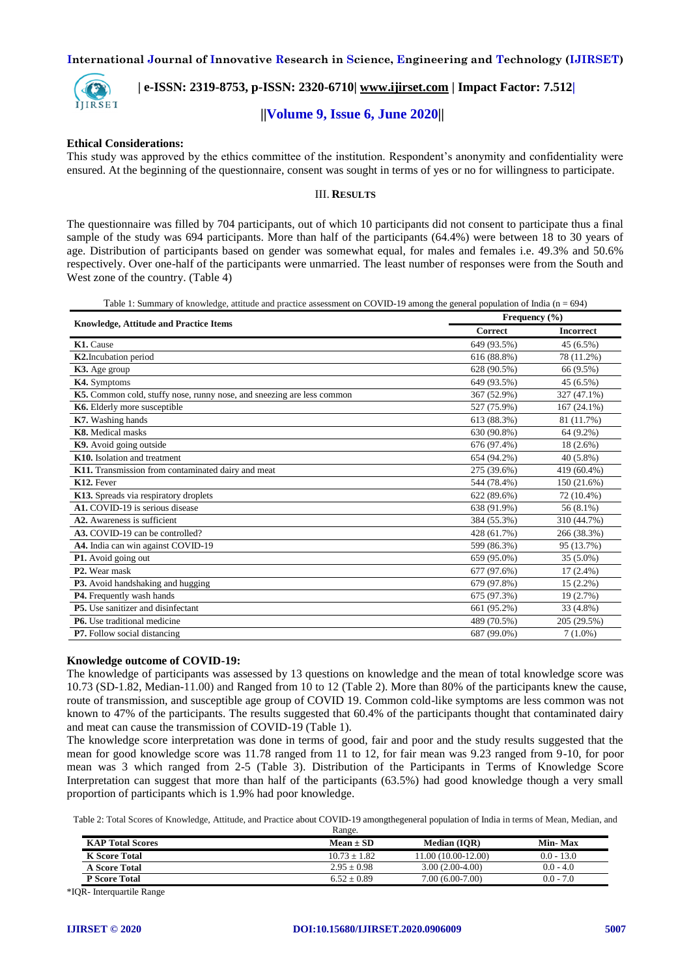

 **| e-ISSN: 2319-8753, p-ISSN: 2320-6710| [www.ijirset.com](http://www.ijirset.com/) | Impact Factor: 7.512|**

# **||Volume 9, Issue 6, June 2020||**

#### **Ethical Considerations:**

This study was approved by the ethics committee of the institution. Respondent's anonymity and confidentiality were ensured. At the beginning of the questionnaire, consent was sought in terms of yes or no for willingness to participate.

#### III. **RESULTS**

The questionnaire was filled by 704 participants, out of which 10 participants did not consent to participate thus a final sample of the study was 694 participants. More than half of the participants (64.4%) were between 18 to 30 years of age. Distribution of participants based on gender was somewhat equal, for males and females i.e. 49.3% and 50.6% respectively. Over one-half of the participants were unmarried. The least number of responses were from the South and West zone of the country. (Table 4)

Table 1: Summary of knowledge, attitude and practice assessment on COVID-19 among the general population of India (n = 694)

|                                                                        | Frequency (%) |                  |  |
|------------------------------------------------------------------------|---------------|------------------|--|
| <b>Knowledge, Attitude and Practice Items</b>                          | Correct       | <b>Incorrect</b> |  |
| K1. Cause                                                              | 649 (93.5%)   | 45 (6.5%)        |  |
| <b>K2.</b> Incubation period                                           | 616 (88.8%)   | 78 (11.2%)       |  |
| K3. Age group                                                          | 628 (90.5%)   | 66 (9.5%)        |  |
| K4. Symptoms                                                           | 649 (93.5%)   | 45 (6.5%)        |  |
| K5. Common cold, stuffy nose, runny nose, and sneezing are less common | 367 (52.9%)   | 327 (47.1%)      |  |
| K6. Elderly more susceptible                                           | 527 (75.9%)   | 167 (24.1%)      |  |
| K7. Washing hands                                                      | 613 (88.3%)   | 81 (11.7%)       |  |
| K8. Medical masks                                                      | 630 (90.8%)   | $64(9.2\%)$      |  |
| K9. Avoid going outside                                                | 676 (97.4%)   | $18(2.6\%)$      |  |
| K10. Isolation and treatment                                           | 654 (94.2%)   | $40(5.8\%)$      |  |
| K11. Transmission from contaminated dairy and meat                     | 275 (39.6%)   | 419 (60.4%)      |  |
| K12. Fever                                                             | 544 (78.4%)   | 150 (21.6%)      |  |
| K13. Spreads via respiratory droplets                                  | 622 (89.6%)   | 72 (10.4%)       |  |
| A1. COVID-19 is serious disease                                        | 638 (91.9%)   | 56 (8.1%)        |  |
| A2. Awareness is sufficient                                            | 384 (55.3%)   | 310 (44.7%)      |  |
| A3. COVID-19 can be controlled?                                        | 428 (61.7%)   | 266 (38.3%)      |  |
| A4. India can win against COVID-19                                     | 599 (86.3%)   | 95 (13.7%)       |  |
| P1. Avoid going out                                                    | 659 (95.0%)   | 35 (5.0%)        |  |
| P <sub>2</sub> . Wear mask                                             | 677 (97.6%)   | $17(2.4\%)$      |  |
| P3. Avoid handshaking and hugging                                      | 679 (97.8%)   | $15(2.2\%)$      |  |
| P4. Frequently wash hands                                              | 675 (97.3%)   | 19 (2.7%)        |  |
| <b>P5.</b> Use sanitizer and disinfectant                              | 661 (95.2%)   | 33 (4.8%)        |  |
| <b>P6.</b> Use traditional medicine                                    | 489 (70.5%)   | 205 (29.5%)      |  |
| <b>P7.</b> Follow social distancing                                    | 687 (99.0%)   | $7(1.0\%)$       |  |

#### **Knowledge outcome of COVID-19:**

The knowledge of participants was assessed by 13 questions on knowledge and the mean of total knowledge score was 10.73 (SD-1.82, Median-11.00) and Ranged from 10 to 12 (Table 2). More than 80% of the participants knew the cause, route of transmission, and susceptible age group of COVID 19. Common cold-like symptoms are less common was not known to 47% of the participants. The results suggested that 60.4% of the participants thought that contaminated dairy and meat can cause the transmission of COVID-19 (Table 1).

The knowledge score interpretation was done in terms of good, fair and poor and the study results suggested that the mean for good knowledge score was 11.78 ranged from 11 to 12, for fair mean was 9.23 ranged from 9-10, for poor mean was 3 which ranged from 2-5 (Table 3). Distribution of the Participants in Terms of Knowledge Score Interpretation can suggest that more than half of the participants (63.5%) had good knowledge though a very small proportion of participants which is 1.9% had poor knowledge.

Table 2: Total Scores of Knowledge, Attitude, and Practice about COVID-19 amongthegeneral population of India in terms of Mean, Median, and Range.

| <b>KAP Total Scores</b> | Mean $\pm$ SD  | <b>Median (IOR)</b> | Min-Max      |
|-------------------------|----------------|---------------------|--------------|
| <b>K</b> Score Total    | $10.73 + 1.82$ | 11.00 (10.00-12.00) | $0.0 - 13.0$ |
| <b>A Score Total</b>    | $2.95 + 0.98$  | $3.00(2.00-4.00)$   | $0.0 - 4.0$  |
| <b>P</b> Score Total    | $6.52 + 0.89$  | $7.00(6.00-7.00)$   | $0.0 - 7.0$  |

\*IQR- Interquartile Range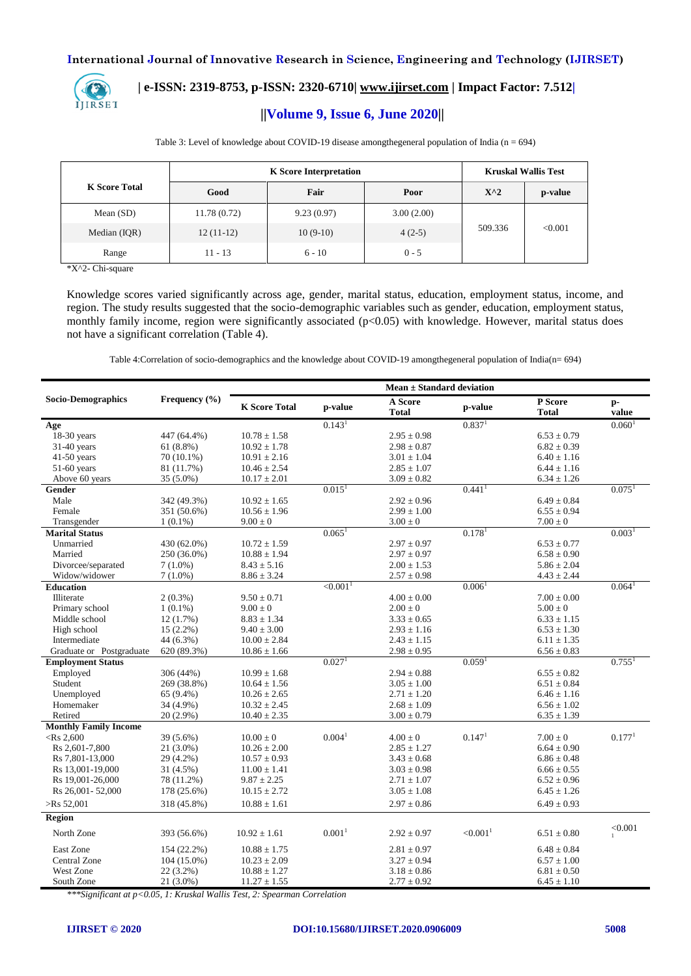

# **| e-ISSN: 2319-8753, p-ISSN: 2320-6710| [www.ijirset.com](http://www.ijirset.com/) | Impact Factor: 7.512|**

# **||Volume 9, Issue 6, June 2020||**

|                      | <b>K</b> Score Interpretation |            |            |               | <b>Kruskal Wallis Test</b> |  |
|----------------------|-------------------------------|------------|------------|---------------|----------------------------|--|
| <b>K</b> Score Total | Good                          | Fair       | Poor       | $X^{\wedge}2$ | p-value                    |  |
| Mean $(SD)$          | 11.78(0.72)                   | 9.23(0.97) | 3.00(2.00) |               | < 0.001                    |  |
| Median (IQR)         | $12(11-12)$                   | $10(9-10)$ | $4(2-5)$   | 509.336       |                            |  |
| Range                | $11 - 13$                     | $6 - 10$   | $0 - 5$    |               |                            |  |

Table 3: Level of knowledge about COVID-19 disease amongthegeneral population of India (n = 694)

\*X^2- Chi-square

Knowledge scores varied significantly across age, gender, marital status, education, employment status, income, and region. The study results suggested that the socio-demographic variables such as gender, education, employment status, monthly family income, region were significantly associated (p<0.05) with knowledge. However, marital status does not have a significant correlation (Table 4).

Table 4:Correlation of socio-demographics and the knowledge about COVID-19 amongthegeneral population of India(n= 694)

| <b>Socio-Demographics</b><br>Frequency $(\% )$<br>P Score<br>A Score<br>$p-$<br><b>K</b> Score Total<br>p-value<br>p-value<br>value<br><b>Total</b><br><b>Total</b><br>0.143 <sup>1</sup><br>0.837 <sup>1</sup><br>0.060 <sup>1</sup><br>Age<br>18-30 years<br>$10.78 \pm 1.58$<br>$2.95 \pm 0.98$<br>$6.53 \pm 0.79$<br>447 (64.4%)<br>$31-40$ years<br>$61(8.8\%)$<br>$10.92 \pm 1.78$<br>$2.98 \pm 0.87$<br>$6.82 \pm 0.39$<br>$41-50$ years<br>$10.91\pm2.16$<br>$3.01 \pm 1.04$<br>$6.40 \pm 1.16$<br>70 (10.1%)<br>$51-60$ years<br>$10.46 \pm 2.54$<br>$2.85 \pm 1.07$<br>$6.44 \pm 1.16$<br>81 (11.7%)<br>Above 60 years<br>35 (5.0%)<br>$10.17 \pm 2.01$<br>$3.09 \pm 0.82$<br>$6.34 \pm 1.26$<br>$0.015$ <sup>1</sup><br>$0.441$ <sup>1</sup><br>$0.075$ <sup>1</sup><br>Gender<br>Male<br>$10.92 \pm 1.65$<br>$2.92 \pm 0.96$<br>$6.49\pm0.84$<br>342 (49.3%)<br>Female<br>$10.56 \pm 1.96$<br>$2.99 \pm 1.00$<br>$6.55 \pm 0.94$<br>351 (50.6%)<br>$9.00 \pm 0$<br>$7.00\pm0$<br>Transgender<br>$1(0.1\%)$<br>$3.00 \pm 0$<br>$0.065$ <sup>1</sup><br>$0.178$ <sup>1</sup><br>0.003 <sup>1</sup><br><b>Marital Status</b><br>Unmarried<br>430 (62.0%)<br>$10.72 \pm 1.59$<br>$2.97 \pm 0.97$<br>$6.53 \pm 0.77$<br>Married<br>$10.88 \pm 1.94$<br>$2.97 \pm 0.97$<br>250 (36.0%)<br>$6.58 \pm 0.90$<br>Divorcee/separated<br>$8.43 \pm 5.16$<br>$7(1.0\%)$<br>$2.00 \pm 1.53$<br>$5.86 \pm 2.04$<br>Widow/widower<br>$7(1.0\%)$<br>$8.86 \pm 3.24$<br>$2.57 \pm 0.98$<br>$4.43 \pm 2.44$<br>$\leq 0.001$ <sup>1</sup><br>0.006 <sup>1</sup><br><b>Education</b><br>0.064 <sup>1</sup><br>Illiterate<br>$2(0.3\%)$<br>$9.50 \pm 0.71$<br>$4.00 \pm 0.00$<br>$7.00 \pm 0.00$<br>Primary school<br>$1(0.1\%)$<br>$9.00 \pm 0$<br>$2.00 \pm 0$<br>$5.00 \pm 0$<br>Middle school<br>$8.83 \pm 1.34$<br>$3.33 \pm 0.65$<br>$6.33 \pm 1.15$<br>12(1.7%)<br>High school<br>$15(2.2\%)$<br>$9.40 \pm 3.00$<br>$2.93 \pm 1.16$<br>$6.53 \pm 1.30$<br>Intermediate<br>44 (6.3%)<br>$10.00 \pm 2.84$<br>$2.43 \pm 1.15$<br>$6.11 \pm 1.35$<br>Graduate or Postgraduate<br>620 (89.3%)<br>$2.98\pm0.95$<br>$6.56 \pm 0.83$<br>$10.86 \pm 1.66$<br>0.027 <sup>1</sup><br>0.059 <sup>1</sup><br><b>Employment Status</b><br>$0.755$ <sup>1</sup><br>Employed<br>306 (44%)<br>$10.99 \pm 1.68$<br>$2.94 \pm 0.88$<br>$6.55 \pm 0.82$<br>Student<br>269 (38.8%)<br>$10.64 \pm 1.56$<br>$3.05 \pm 1.00$<br>$6.51 \pm 0.84$<br>Unemployed<br>$10.26 \pm 2.65$<br>$2.71 \pm 1.20$<br>$6.46 \pm 1.16$<br>$65(9.4\%)$<br>Homemaker<br>$2.68\pm1.09$<br>$6.56 \pm 1.02$<br>34 (4.9%)<br>$10.32 \pm 2.45$<br>Retired<br>20 (2.9%)<br>$10.40 \pm 2.35$<br>$3.00 \pm 0.79$<br>$6.35 \pm 1.39$<br><b>Monthly Family Income</b><br>0.004 <sup>1</sup><br>0.177 <sup>1</sup><br>0.147 <sup>1</sup><br>39 (5.6%)<br>$10.00 \pm 0$<br>$4.00 \pm 0$<br>$7.00 \pm 0$<br>$<$ Rs 2,600<br>Rs 2,601-7,800<br>$21(3.0\%)$<br>$10.26 \pm 2.00$<br>$2.85 \pm 1.27$<br>$6.64 \pm 0.90$<br>$10.57 \pm 0.93$<br>$3.43\pm0.68$<br>$6.86 \pm 0.48$<br>Rs 7,801-13,000<br>29 (4.2%)<br>$11.00 \pm 1.41$<br>$3.03 \pm 0.98$<br>Rs 13,001-19,000<br>31 (4.5%)<br>$6.66 \pm 0.55$<br>Rs 19,001-26,000<br>78 (11.2%)<br>$9.87 \pm 2.25$<br>$2.71 \pm 1.07$<br>$6.52 \pm 0.96$<br>$3.05 \pm 1.08$<br>Rs 26,001 - 52,000<br>178 (25.6%)<br>$10.15 \pm 2.72$<br>$6.45 \pm 1.26$<br>$>$ Rs 52,001<br>$10.88 \pm 1.61$<br>$2.97 \pm 0.86$<br>$6.49 \pm 0.93$<br>318 (45.8%) |        | Mean $\pm$ Standard deviation |  |  |  |  |  |
|-----------------------------------------------------------------------------------------------------------------------------------------------------------------------------------------------------------------------------------------------------------------------------------------------------------------------------------------------------------------------------------------------------------------------------------------------------------------------------------------------------------------------------------------------------------------------------------------------------------------------------------------------------------------------------------------------------------------------------------------------------------------------------------------------------------------------------------------------------------------------------------------------------------------------------------------------------------------------------------------------------------------------------------------------------------------------------------------------------------------------------------------------------------------------------------------------------------------------------------------------------------------------------------------------------------------------------------------------------------------------------------------------------------------------------------------------------------------------------------------------------------------------------------------------------------------------------------------------------------------------------------------------------------------------------------------------------------------------------------------------------------------------------------------------------------------------------------------------------------------------------------------------------------------------------------------------------------------------------------------------------------------------------------------------------------------------------------------------------------------------------------------------------------------------------------------------------------------------------------------------------------------------------------------------------------------------------------------------------------------------------------------------------------------------------------------------------------------------------------------------------------------------------------------------------------------------------------------------------------------------------------------------------------------------------------------------------------------------------------------------------------------------------------------------------------------------------------------------------------------------------------------------------------------------------------------------------------------------------------------------------------------------------------------------------------------------------------------------------------------------------------------------------------------------------------------------------------------------------------------------------------------------------------------------------------------------------------------------------------------------------------------------------------------------------------|--------|-------------------------------|--|--|--|--|--|
|                                                                                                                                                                                                                                                                                                                                                                                                                                                                                                                                                                                                                                                                                                                                                                                                                                                                                                                                                                                                                                                                                                                                                                                                                                                                                                                                                                                                                                                                                                                                                                                                                                                                                                                                                                                                                                                                                                                                                                                                                                                                                                                                                                                                                                                                                                                                                                                                                                                                                                                                                                                                                                                                                                                                                                                                                                                                                                                                                                                                                                                                                                                                                                                                                                                                                                                                                                                                                                   |        |                               |  |  |  |  |  |
|                                                                                                                                                                                                                                                                                                                                                                                                                                                                                                                                                                                                                                                                                                                                                                                                                                                                                                                                                                                                                                                                                                                                                                                                                                                                                                                                                                                                                                                                                                                                                                                                                                                                                                                                                                                                                                                                                                                                                                                                                                                                                                                                                                                                                                                                                                                                                                                                                                                                                                                                                                                                                                                                                                                                                                                                                                                                                                                                                                                                                                                                                                                                                                                                                                                                                                                                                                                                                                   |        |                               |  |  |  |  |  |
|                                                                                                                                                                                                                                                                                                                                                                                                                                                                                                                                                                                                                                                                                                                                                                                                                                                                                                                                                                                                                                                                                                                                                                                                                                                                                                                                                                                                                                                                                                                                                                                                                                                                                                                                                                                                                                                                                                                                                                                                                                                                                                                                                                                                                                                                                                                                                                                                                                                                                                                                                                                                                                                                                                                                                                                                                                                                                                                                                                                                                                                                                                                                                                                                                                                                                                                                                                                                                                   |        |                               |  |  |  |  |  |
|                                                                                                                                                                                                                                                                                                                                                                                                                                                                                                                                                                                                                                                                                                                                                                                                                                                                                                                                                                                                                                                                                                                                                                                                                                                                                                                                                                                                                                                                                                                                                                                                                                                                                                                                                                                                                                                                                                                                                                                                                                                                                                                                                                                                                                                                                                                                                                                                                                                                                                                                                                                                                                                                                                                                                                                                                                                                                                                                                                                                                                                                                                                                                                                                                                                                                                                                                                                                                                   |        |                               |  |  |  |  |  |
|                                                                                                                                                                                                                                                                                                                                                                                                                                                                                                                                                                                                                                                                                                                                                                                                                                                                                                                                                                                                                                                                                                                                                                                                                                                                                                                                                                                                                                                                                                                                                                                                                                                                                                                                                                                                                                                                                                                                                                                                                                                                                                                                                                                                                                                                                                                                                                                                                                                                                                                                                                                                                                                                                                                                                                                                                                                                                                                                                                                                                                                                                                                                                                                                                                                                                                                                                                                                                                   |        |                               |  |  |  |  |  |
|                                                                                                                                                                                                                                                                                                                                                                                                                                                                                                                                                                                                                                                                                                                                                                                                                                                                                                                                                                                                                                                                                                                                                                                                                                                                                                                                                                                                                                                                                                                                                                                                                                                                                                                                                                                                                                                                                                                                                                                                                                                                                                                                                                                                                                                                                                                                                                                                                                                                                                                                                                                                                                                                                                                                                                                                                                                                                                                                                                                                                                                                                                                                                                                                                                                                                                                                                                                                                                   |        |                               |  |  |  |  |  |
|                                                                                                                                                                                                                                                                                                                                                                                                                                                                                                                                                                                                                                                                                                                                                                                                                                                                                                                                                                                                                                                                                                                                                                                                                                                                                                                                                                                                                                                                                                                                                                                                                                                                                                                                                                                                                                                                                                                                                                                                                                                                                                                                                                                                                                                                                                                                                                                                                                                                                                                                                                                                                                                                                                                                                                                                                                                                                                                                                                                                                                                                                                                                                                                                                                                                                                                                                                                                                                   |        |                               |  |  |  |  |  |
|                                                                                                                                                                                                                                                                                                                                                                                                                                                                                                                                                                                                                                                                                                                                                                                                                                                                                                                                                                                                                                                                                                                                                                                                                                                                                                                                                                                                                                                                                                                                                                                                                                                                                                                                                                                                                                                                                                                                                                                                                                                                                                                                                                                                                                                                                                                                                                                                                                                                                                                                                                                                                                                                                                                                                                                                                                                                                                                                                                                                                                                                                                                                                                                                                                                                                                                                                                                                                                   |        |                               |  |  |  |  |  |
|                                                                                                                                                                                                                                                                                                                                                                                                                                                                                                                                                                                                                                                                                                                                                                                                                                                                                                                                                                                                                                                                                                                                                                                                                                                                                                                                                                                                                                                                                                                                                                                                                                                                                                                                                                                                                                                                                                                                                                                                                                                                                                                                                                                                                                                                                                                                                                                                                                                                                                                                                                                                                                                                                                                                                                                                                                                                                                                                                                                                                                                                                                                                                                                                                                                                                                                                                                                                                                   |        |                               |  |  |  |  |  |
|                                                                                                                                                                                                                                                                                                                                                                                                                                                                                                                                                                                                                                                                                                                                                                                                                                                                                                                                                                                                                                                                                                                                                                                                                                                                                                                                                                                                                                                                                                                                                                                                                                                                                                                                                                                                                                                                                                                                                                                                                                                                                                                                                                                                                                                                                                                                                                                                                                                                                                                                                                                                                                                                                                                                                                                                                                                                                                                                                                                                                                                                                                                                                                                                                                                                                                                                                                                                                                   |        |                               |  |  |  |  |  |
|                                                                                                                                                                                                                                                                                                                                                                                                                                                                                                                                                                                                                                                                                                                                                                                                                                                                                                                                                                                                                                                                                                                                                                                                                                                                                                                                                                                                                                                                                                                                                                                                                                                                                                                                                                                                                                                                                                                                                                                                                                                                                                                                                                                                                                                                                                                                                                                                                                                                                                                                                                                                                                                                                                                                                                                                                                                                                                                                                                                                                                                                                                                                                                                                                                                                                                                                                                                                                                   |        |                               |  |  |  |  |  |
|                                                                                                                                                                                                                                                                                                                                                                                                                                                                                                                                                                                                                                                                                                                                                                                                                                                                                                                                                                                                                                                                                                                                                                                                                                                                                                                                                                                                                                                                                                                                                                                                                                                                                                                                                                                                                                                                                                                                                                                                                                                                                                                                                                                                                                                                                                                                                                                                                                                                                                                                                                                                                                                                                                                                                                                                                                                                                                                                                                                                                                                                                                                                                                                                                                                                                                                                                                                                                                   |        |                               |  |  |  |  |  |
|                                                                                                                                                                                                                                                                                                                                                                                                                                                                                                                                                                                                                                                                                                                                                                                                                                                                                                                                                                                                                                                                                                                                                                                                                                                                                                                                                                                                                                                                                                                                                                                                                                                                                                                                                                                                                                                                                                                                                                                                                                                                                                                                                                                                                                                                                                                                                                                                                                                                                                                                                                                                                                                                                                                                                                                                                                                                                                                                                                                                                                                                                                                                                                                                                                                                                                                                                                                                                                   |        |                               |  |  |  |  |  |
|                                                                                                                                                                                                                                                                                                                                                                                                                                                                                                                                                                                                                                                                                                                                                                                                                                                                                                                                                                                                                                                                                                                                                                                                                                                                                                                                                                                                                                                                                                                                                                                                                                                                                                                                                                                                                                                                                                                                                                                                                                                                                                                                                                                                                                                                                                                                                                                                                                                                                                                                                                                                                                                                                                                                                                                                                                                                                                                                                                                                                                                                                                                                                                                                                                                                                                                                                                                                                                   |        |                               |  |  |  |  |  |
|                                                                                                                                                                                                                                                                                                                                                                                                                                                                                                                                                                                                                                                                                                                                                                                                                                                                                                                                                                                                                                                                                                                                                                                                                                                                                                                                                                                                                                                                                                                                                                                                                                                                                                                                                                                                                                                                                                                                                                                                                                                                                                                                                                                                                                                                                                                                                                                                                                                                                                                                                                                                                                                                                                                                                                                                                                                                                                                                                                                                                                                                                                                                                                                                                                                                                                                                                                                                                                   |        |                               |  |  |  |  |  |
|                                                                                                                                                                                                                                                                                                                                                                                                                                                                                                                                                                                                                                                                                                                                                                                                                                                                                                                                                                                                                                                                                                                                                                                                                                                                                                                                                                                                                                                                                                                                                                                                                                                                                                                                                                                                                                                                                                                                                                                                                                                                                                                                                                                                                                                                                                                                                                                                                                                                                                                                                                                                                                                                                                                                                                                                                                                                                                                                                                                                                                                                                                                                                                                                                                                                                                                                                                                                                                   |        |                               |  |  |  |  |  |
|                                                                                                                                                                                                                                                                                                                                                                                                                                                                                                                                                                                                                                                                                                                                                                                                                                                                                                                                                                                                                                                                                                                                                                                                                                                                                                                                                                                                                                                                                                                                                                                                                                                                                                                                                                                                                                                                                                                                                                                                                                                                                                                                                                                                                                                                                                                                                                                                                                                                                                                                                                                                                                                                                                                                                                                                                                                                                                                                                                                                                                                                                                                                                                                                                                                                                                                                                                                                                                   |        |                               |  |  |  |  |  |
|                                                                                                                                                                                                                                                                                                                                                                                                                                                                                                                                                                                                                                                                                                                                                                                                                                                                                                                                                                                                                                                                                                                                                                                                                                                                                                                                                                                                                                                                                                                                                                                                                                                                                                                                                                                                                                                                                                                                                                                                                                                                                                                                                                                                                                                                                                                                                                                                                                                                                                                                                                                                                                                                                                                                                                                                                                                                                                                                                                                                                                                                                                                                                                                                                                                                                                                                                                                                                                   |        |                               |  |  |  |  |  |
|                                                                                                                                                                                                                                                                                                                                                                                                                                                                                                                                                                                                                                                                                                                                                                                                                                                                                                                                                                                                                                                                                                                                                                                                                                                                                                                                                                                                                                                                                                                                                                                                                                                                                                                                                                                                                                                                                                                                                                                                                                                                                                                                                                                                                                                                                                                                                                                                                                                                                                                                                                                                                                                                                                                                                                                                                                                                                                                                                                                                                                                                                                                                                                                                                                                                                                                                                                                                                                   |        |                               |  |  |  |  |  |
|                                                                                                                                                                                                                                                                                                                                                                                                                                                                                                                                                                                                                                                                                                                                                                                                                                                                                                                                                                                                                                                                                                                                                                                                                                                                                                                                                                                                                                                                                                                                                                                                                                                                                                                                                                                                                                                                                                                                                                                                                                                                                                                                                                                                                                                                                                                                                                                                                                                                                                                                                                                                                                                                                                                                                                                                                                                                                                                                                                                                                                                                                                                                                                                                                                                                                                                                                                                                                                   |        |                               |  |  |  |  |  |
|                                                                                                                                                                                                                                                                                                                                                                                                                                                                                                                                                                                                                                                                                                                                                                                                                                                                                                                                                                                                                                                                                                                                                                                                                                                                                                                                                                                                                                                                                                                                                                                                                                                                                                                                                                                                                                                                                                                                                                                                                                                                                                                                                                                                                                                                                                                                                                                                                                                                                                                                                                                                                                                                                                                                                                                                                                                                                                                                                                                                                                                                                                                                                                                                                                                                                                                                                                                                                                   |        |                               |  |  |  |  |  |
|                                                                                                                                                                                                                                                                                                                                                                                                                                                                                                                                                                                                                                                                                                                                                                                                                                                                                                                                                                                                                                                                                                                                                                                                                                                                                                                                                                                                                                                                                                                                                                                                                                                                                                                                                                                                                                                                                                                                                                                                                                                                                                                                                                                                                                                                                                                                                                                                                                                                                                                                                                                                                                                                                                                                                                                                                                                                                                                                                                                                                                                                                                                                                                                                                                                                                                                                                                                                                                   |        |                               |  |  |  |  |  |
|                                                                                                                                                                                                                                                                                                                                                                                                                                                                                                                                                                                                                                                                                                                                                                                                                                                                                                                                                                                                                                                                                                                                                                                                                                                                                                                                                                                                                                                                                                                                                                                                                                                                                                                                                                                                                                                                                                                                                                                                                                                                                                                                                                                                                                                                                                                                                                                                                                                                                                                                                                                                                                                                                                                                                                                                                                                                                                                                                                                                                                                                                                                                                                                                                                                                                                                                                                                                                                   |        |                               |  |  |  |  |  |
|                                                                                                                                                                                                                                                                                                                                                                                                                                                                                                                                                                                                                                                                                                                                                                                                                                                                                                                                                                                                                                                                                                                                                                                                                                                                                                                                                                                                                                                                                                                                                                                                                                                                                                                                                                                                                                                                                                                                                                                                                                                                                                                                                                                                                                                                                                                                                                                                                                                                                                                                                                                                                                                                                                                                                                                                                                                                                                                                                                                                                                                                                                                                                                                                                                                                                                                                                                                                                                   |        |                               |  |  |  |  |  |
|                                                                                                                                                                                                                                                                                                                                                                                                                                                                                                                                                                                                                                                                                                                                                                                                                                                                                                                                                                                                                                                                                                                                                                                                                                                                                                                                                                                                                                                                                                                                                                                                                                                                                                                                                                                                                                                                                                                                                                                                                                                                                                                                                                                                                                                                                                                                                                                                                                                                                                                                                                                                                                                                                                                                                                                                                                                                                                                                                                                                                                                                                                                                                                                                                                                                                                                                                                                                                                   |        |                               |  |  |  |  |  |
|                                                                                                                                                                                                                                                                                                                                                                                                                                                                                                                                                                                                                                                                                                                                                                                                                                                                                                                                                                                                                                                                                                                                                                                                                                                                                                                                                                                                                                                                                                                                                                                                                                                                                                                                                                                                                                                                                                                                                                                                                                                                                                                                                                                                                                                                                                                                                                                                                                                                                                                                                                                                                                                                                                                                                                                                                                                                                                                                                                                                                                                                                                                                                                                                                                                                                                                                                                                                                                   |        |                               |  |  |  |  |  |
|                                                                                                                                                                                                                                                                                                                                                                                                                                                                                                                                                                                                                                                                                                                                                                                                                                                                                                                                                                                                                                                                                                                                                                                                                                                                                                                                                                                                                                                                                                                                                                                                                                                                                                                                                                                                                                                                                                                                                                                                                                                                                                                                                                                                                                                                                                                                                                                                                                                                                                                                                                                                                                                                                                                                                                                                                                                                                                                                                                                                                                                                                                                                                                                                                                                                                                                                                                                                                                   |        |                               |  |  |  |  |  |
|                                                                                                                                                                                                                                                                                                                                                                                                                                                                                                                                                                                                                                                                                                                                                                                                                                                                                                                                                                                                                                                                                                                                                                                                                                                                                                                                                                                                                                                                                                                                                                                                                                                                                                                                                                                                                                                                                                                                                                                                                                                                                                                                                                                                                                                                                                                                                                                                                                                                                                                                                                                                                                                                                                                                                                                                                                                                                                                                                                                                                                                                                                                                                                                                                                                                                                                                                                                                                                   |        |                               |  |  |  |  |  |
|                                                                                                                                                                                                                                                                                                                                                                                                                                                                                                                                                                                                                                                                                                                                                                                                                                                                                                                                                                                                                                                                                                                                                                                                                                                                                                                                                                                                                                                                                                                                                                                                                                                                                                                                                                                                                                                                                                                                                                                                                                                                                                                                                                                                                                                                                                                                                                                                                                                                                                                                                                                                                                                                                                                                                                                                                                                                                                                                                                                                                                                                                                                                                                                                                                                                                                                                                                                                                                   |        |                               |  |  |  |  |  |
|                                                                                                                                                                                                                                                                                                                                                                                                                                                                                                                                                                                                                                                                                                                                                                                                                                                                                                                                                                                                                                                                                                                                                                                                                                                                                                                                                                                                                                                                                                                                                                                                                                                                                                                                                                                                                                                                                                                                                                                                                                                                                                                                                                                                                                                                                                                                                                                                                                                                                                                                                                                                                                                                                                                                                                                                                                                                                                                                                                                                                                                                                                                                                                                                                                                                                                                                                                                                                                   |        |                               |  |  |  |  |  |
|                                                                                                                                                                                                                                                                                                                                                                                                                                                                                                                                                                                                                                                                                                                                                                                                                                                                                                                                                                                                                                                                                                                                                                                                                                                                                                                                                                                                                                                                                                                                                                                                                                                                                                                                                                                                                                                                                                                                                                                                                                                                                                                                                                                                                                                                                                                                                                                                                                                                                                                                                                                                                                                                                                                                                                                                                                                                                                                                                                                                                                                                                                                                                                                                                                                                                                                                                                                                                                   |        |                               |  |  |  |  |  |
|                                                                                                                                                                                                                                                                                                                                                                                                                                                                                                                                                                                                                                                                                                                                                                                                                                                                                                                                                                                                                                                                                                                                                                                                                                                                                                                                                                                                                                                                                                                                                                                                                                                                                                                                                                                                                                                                                                                                                                                                                                                                                                                                                                                                                                                                                                                                                                                                                                                                                                                                                                                                                                                                                                                                                                                                                                                                                                                                                                                                                                                                                                                                                                                                                                                                                                                                                                                                                                   |        |                               |  |  |  |  |  |
|                                                                                                                                                                                                                                                                                                                                                                                                                                                                                                                                                                                                                                                                                                                                                                                                                                                                                                                                                                                                                                                                                                                                                                                                                                                                                                                                                                                                                                                                                                                                                                                                                                                                                                                                                                                                                                                                                                                                                                                                                                                                                                                                                                                                                                                                                                                                                                                                                                                                                                                                                                                                                                                                                                                                                                                                                                                                                                                                                                                                                                                                                                                                                                                                                                                                                                                                                                                                                                   |        |                               |  |  |  |  |  |
|                                                                                                                                                                                                                                                                                                                                                                                                                                                                                                                                                                                                                                                                                                                                                                                                                                                                                                                                                                                                                                                                                                                                                                                                                                                                                                                                                                                                                                                                                                                                                                                                                                                                                                                                                                                                                                                                                                                                                                                                                                                                                                                                                                                                                                                                                                                                                                                                                                                                                                                                                                                                                                                                                                                                                                                                                                                                                                                                                                                                                                                                                                                                                                                                                                                                                                                                                                                                                                   |        |                               |  |  |  |  |  |
|                                                                                                                                                                                                                                                                                                                                                                                                                                                                                                                                                                                                                                                                                                                                                                                                                                                                                                                                                                                                                                                                                                                                                                                                                                                                                                                                                                                                                                                                                                                                                                                                                                                                                                                                                                                                                                                                                                                                                                                                                                                                                                                                                                                                                                                                                                                                                                                                                                                                                                                                                                                                                                                                                                                                                                                                                                                                                                                                                                                                                                                                                                                                                                                                                                                                                                                                                                                                                                   |        |                               |  |  |  |  |  |
|                                                                                                                                                                                                                                                                                                                                                                                                                                                                                                                                                                                                                                                                                                                                                                                                                                                                                                                                                                                                                                                                                                                                                                                                                                                                                                                                                                                                                                                                                                                                                                                                                                                                                                                                                                                                                                                                                                                                                                                                                                                                                                                                                                                                                                                                                                                                                                                                                                                                                                                                                                                                                                                                                                                                                                                                                                                                                                                                                                                                                                                                                                                                                                                                                                                                                                                                                                                                                                   |        |                               |  |  |  |  |  |
|                                                                                                                                                                                                                                                                                                                                                                                                                                                                                                                                                                                                                                                                                                                                                                                                                                                                                                                                                                                                                                                                                                                                                                                                                                                                                                                                                                                                                                                                                                                                                                                                                                                                                                                                                                                                                                                                                                                                                                                                                                                                                                                                                                                                                                                                                                                                                                                                                                                                                                                                                                                                                                                                                                                                                                                                                                                                                                                                                                                                                                                                                                                                                                                                                                                                                                                                                                                                                                   |        |                               |  |  |  |  |  |
|                                                                                                                                                                                                                                                                                                                                                                                                                                                                                                                                                                                                                                                                                                                                                                                                                                                                                                                                                                                                                                                                                                                                                                                                                                                                                                                                                                                                                                                                                                                                                                                                                                                                                                                                                                                                                                                                                                                                                                                                                                                                                                                                                                                                                                                                                                                                                                                                                                                                                                                                                                                                                                                                                                                                                                                                                                                                                                                                                                                                                                                                                                                                                                                                                                                                                                                                                                                                                                   | Region |                               |  |  |  |  |  |
| < 0.001<br>0.001 <sup>1</sup><br>< 0.001 <sup>1</sup><br>North Zone<br>$10.92 \pm 1.61$<br>$2.92 \pm 0.97$<br>393 (56.6%)<br>$6.51 \pm 0.80$<br>$\mathbf{1}$                                                                                                                                                                                                                                                                                                                                                                                                                                                                                                                                                                                                                                                                                                                                                                                                                                                                                                                                                                                                                                                                                                                                                                                                                                                                                                                                                                                                                                                                                                                                                                                                                                                                                                                                                                                                                                                                                                                                                                                                                                                                                                                                                                                                                                                                                                                                                                                                                                                                                                                                                                                                                                                                                                                                                                                                                                                                                                                                                                                                                                                                                                                                                                                                                                                                      |        |                               |  |  |  |  |  |
| East Zone<br>$10.88 \pm 1.75$<br>$2.81 \pm 0.97$<br>$6.48 \pm 0.84$<br>154 (22.2%)                                                                                                                                                                                                                                                                                                                                                                                                                                                                                                                                                                                                                                                                                                                                                                                                                                                                                                                                                                                                                                                                                                                                                                                                                                                                                                                                                                                                                                                                                                                                                                                                                                                                                                                                                                                                                                                                                                                                                                                                                                                                                                                                                                                                                                                                                                                                                                                                                                                                                                                                                                                                                                                                                                                                                                                                                                                                                                                                                                                                                                                                                                                                                                                                                                                                                                                                                |        |                               |  |  |  |  |  |
| Central Zone<br>$10.23 \pm 2.09$<br>$3.27 \pm 0.94$<br>$104(15.0\%)$<br>$6.57 \pm 1.00$                                                                                                                                                                                                                                                                                                                                                                                                                                                                                                                                                                                                                                                                                                                                                                                                                                                                                                                                                                                                                                                                                                                                                                                                                                                                                                                                                                                                                                                                                                                                                                                                                                                                                                                                                                                                                                                                                                                                                                                                                                                                                                                                                                                                                                                                                                                                                                                                                                                                                                                                                                                                                                                                                                                                                                                                                                                                                                                                                                                                                                                                                                                                                                                                                                                                                                                                           |        |                               |  |  |  |  |  |
| West Zone<br>22 (3.2%)<br>$10.88 \pm 1.27$<br>$3.18 \pm 0.86$<br>$6.81 \pm 0.50$                                                                                                                                                                                                                                                                                                                                                                                                                                                                                                                                                                                                                                                                                                                                                                                                                                                                                                                                                                                                                                                                                                                                                                                                                                                                                                                                                                                                                                                                                                                                                                                                                                                                                                                                                                                                                                                                                                                                                                                                                                                                                                                                                                                                                                                                                                                                                                                                                                                                                                                                                                                                                                                                                                                                                                                                                                                                                                                                                                                                                                                                                                                                                                                                                                                                                                                                                  |        |                               |  |  |  |  |  |
| $6.45 \pm 1.10$<br>South Zone<br>$21(3.0\%)$<br>$11.27 \pm 1.55$<br>$2.77 \pm 0.92$                                                                                                                                                                                                                                                                                                                                                                                                                                                                                                                                                                                                                                                                                                                                                                                                                                                                                                                                                                                                                                                                                                                                                                                                                                                                                                                                                                                                                                                                                                                                                                                                                                                                                                                                                                                                                                                                                                                                                                                                                                                                                                                                                                                                                                                                                                                                                                                                                                                                                                                                                                                                                                                                                                                                                                                                                                                                                                                                                                                                                                                                                                                                                                                                                                                                                                                                               |        |                               |  |  |  |  |  |

*\*\*\*Significant at p<0.05, 1: Kruskal Wallis Test, 2: Spearman Correlation*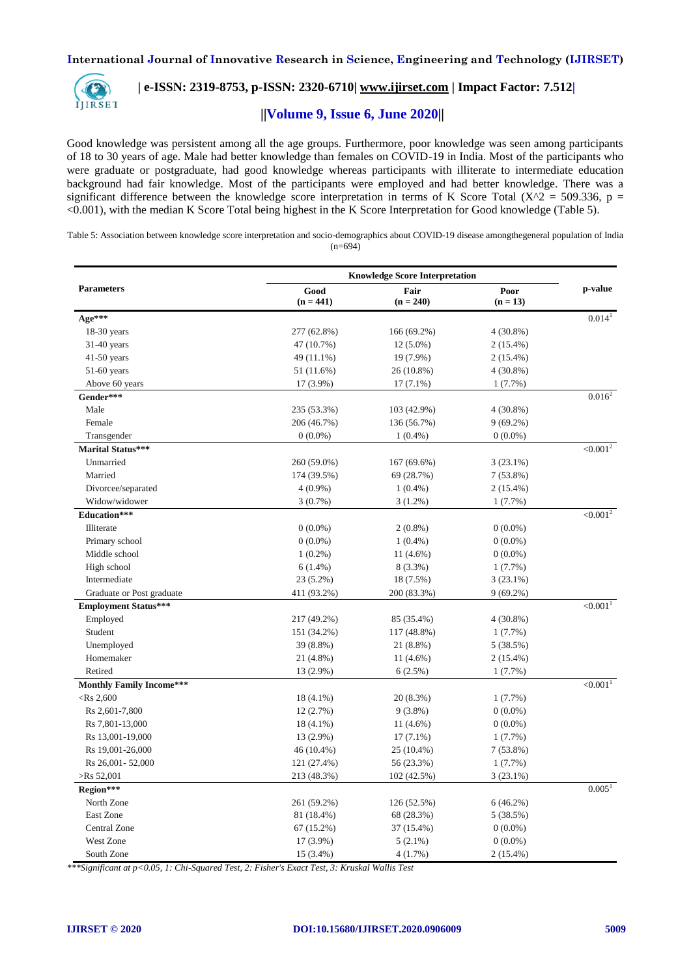

# **| e-ISSN: 2319-8753, p-ISSN: 2320-6710| [www.ijirset.com](http://www.ijirset.com/) | Impact Factor: 7.512|**

## **||Volume 9, Issue 6, June 2020||**

Good knowledge was persistent among all the age groups. Furthermore, poor knowledge was seen among participants of 18 to 30 years of age. Male had better knowledge than females on COVID-19 in India. Most of the participants who were graduate or postgraduate, had good knowledge whereas participants with illiterate to intermediate education background had fair knowledge. Most of the participants were employed and had better knowledge. There was a significant difference between the knowledge score interpretation in terms of K Score Total ( $X^2 = 509.336$ , p = <0.001), with the median K Score Total being highest in the K Score Interpretation for Good knowledge (Table 5).

Table 5: Association between knowledge score interpretation and socio-demographics about COVID-19 disease amongthegeneral population of India  $(n=694)$ 

|                                 | <b>Knowledge Score Interpretation</b> |                     |                    |                        |  |
|---------------------------------|---------------------------------------|---------------------|--------------------|------------------------|--|
| <b>Parameters</b>               | Good<br>$(n = 441)$                   | Fair<br>$(n = 240)$ | Poor<br>$(n = 13)$ | p-value                |  |
| Age***                          |                                       |                     |                    | $0.014^{1}$            |  |
| $18-30$ years                   | 277 (62.8%)                           | 166 (69.2%)         | $4(30.8\%)$        |                        |  |
| $31-40$ years                   | 47 (10.7%)                            | $12(5.0\%)$         | $2(15.4\%)$        |                        |  |
| $41-50$ years                   | 49 (11.1%)                            | 19 (7.9%)           | $2(15.4\%)$        |                        |  |
| $51-60$ years                   | 51 (11.6%)                            | 26 (10.8%)          | 4 (30.8%)          |                        |  |
| Above 60 years                  | 17 (3.9%)                             | $17(7.1\%)$         | 1(7.7%)            |                        |  |
| Gender***                       |                                       |                     |                    | $0.016^2$              |  |
| Male                            | 235 (53.3%)                           | 103 (42.9%)         | $4(30.8\%)$        |                        |  |
| Female                          | 206 (46.7%)                           | 136 (56.7%)         | $9(69.2\%)$        |                        |  |
| Transgender                     | $0(0.0\%)$                            | $1(0.4\%)$          | $0(0.0\%)$         |                        |  |
| <b>Marital Status***</b>        |                                       |                     |                    | $< 0.001^2$            |  |
| Unmarried                       | 260 (59.0%)                           | 167 (69.6%)         | $3(23.1\%)$        |                        |  |
| Married                         | 174 (39.5%)                           | 69 (28.7%)          | $7(53.8\%)$        |                        |  |
| Divorcee/separated              | $4(0.9\%)$                            | $1(0.4\%)$          | $2(15.4\%)$        |                        |  |
| Widow/widower                   | $3(0.7\%)$                            | $3(1.2\%)$          | 1(7.7%)            |                        |  |
| Education***                    |                                       |                     |                    | $< 0.001^2$            |  |
| Illiterate                      | $0(0.0\%)$                            | $2(0.8\%)$          | $0(0.0\%)$         |                        |  |
| Primary school                  | $0(0.0\%)$                            | $1(0.4\%)$          | $0(0.0\%)$         |                        |  |
| Middle school                   | $1(0.2\%)$                            | 11 (4.6%)           | $0(0.0\%)$         |                        |  |
| High school                     | $6(1.4\%)$                            | 8 (3.3%)            | 1(7.7%)            |                        |  |
| Intermediate                    | 23 (5.2%)                             | 18 (7.5%)           | $3(23.1\%)$        |                        |  |
| Graduate or Post graduate       | 411 (93.2%)                           | 200 (83.3%)         | $9(69.2\%)$        |                        |  |
| <b>Employment Status***</b>     |                                       |                     |                    | < 0.001 <sup>1</sup>   |  |
| Employed                        | 217 (49.2%)                           | 85 (35.4%)          | $4(30.8\%)$        |                        |  |
| Student                         | 151 (34.2%)                           | 117 (48.8%)         | $1(7.7\%)$         |                        |  |
| Unemployed                      | 39 (8.8%)                             | 21 (8.8%)           | 5(38.5%)           |                        |  |
| Homemaker                       | 21 (4.8%)                             | $11(4.6\%)$         | 2 (15.4%)          |                        |  |
| Retired                         | 13 (2.9%)                             | 6(2.5%)             | $1(7.7\%)$         |                        |  |
| <b>Monthly Family Income***</b> |                                       |                     |                    | $< 0.001$ <sup>1</sup> |  |
| $<$ Rs 2,600                    | 18 (4.1%)                             | 20 (8.3%)           | $1(7.7\%)$         |                        |  |
| Rs 2,601-7,800                  | 12(2.7%)                              | $9(3.8\%)$          | $0(0.0\%)$         |                        |  |
| Rs 7,801-13,000                 | 18 (4.1%)                             | $11(4.6\%)$         | $0(0.0\%)$         |                        |  |
| Rs 13,001-19,000                | 13 (2.9%)                             | $17(7.1\%)$         | $1(7.7\%)$         |                        |  |
| Rs 19,001-26,000                | 46 (10.4%)                            | 25 (10.4%)          | 7 (53.8%)          |                        |  |
| Rs 26,001 - 52,000              | 121 (27.4%)                           | 56 (23.3%)          | 1(7.7%)            |                        |  |
| $>$ Rs 52,001                   | 213 (48.3%)                           | 102 (42.5%)         | $3(23.1\%)$        |                        |  |
| Region***                       |                                       |                     |                    | 0.005 <sup>1</sup>     |  |
| North Zone                      | 261 (59.2%)                           | 126 (52.5%)         | 6(46.2%)           |                        |  |
| East Zone                       | 81 (18.4%)                            | 68 (28.3%)          | 5 (38.5%)          |                        |  |
| Central Zone                    | 67 (15.2%)                            | 37 (15.4%)          | $0(0.0\%)$         |                        |  |
| <b>West Zone</b>                | $17(3.9\%)$                           | $5(2.1\%)$          | $0(0.0\%)$         |                        |  |
| South Zone                      | 15 (3.4%)                             | 4(1.7%)             | 2 (15.4%)          |                        |  |

*\*\*\*Significant at p<0.05, 1: Chi-Squared Test, 2: Fisher's Exact Test, 3: Kruskal Wallis Test*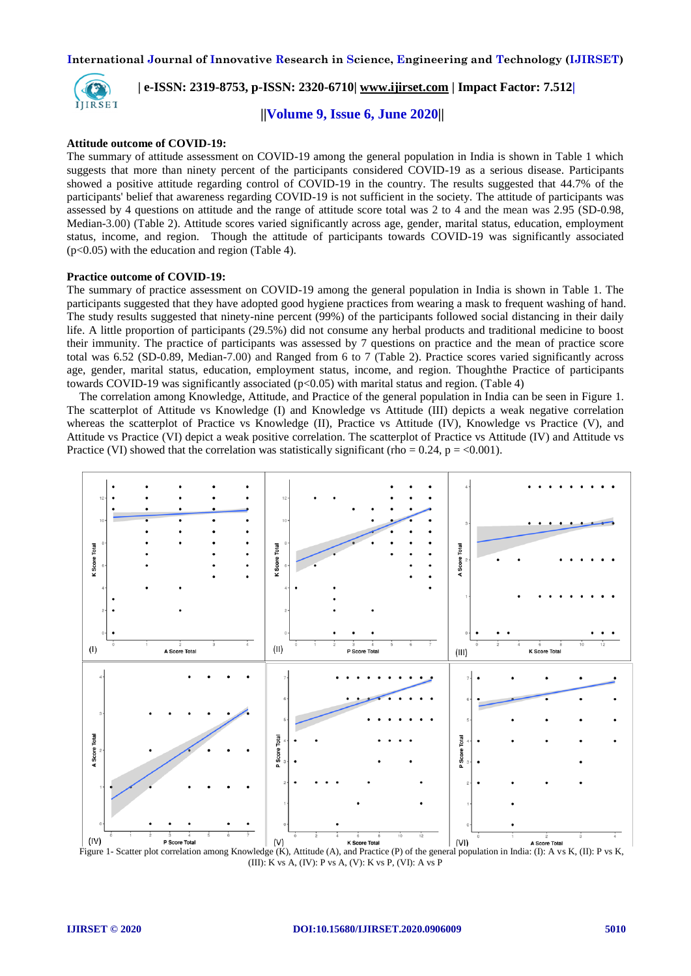

 **| e-ISSN: 2319-8753, p-ISSN: 2320-6710| [www.ijirset.com](http://www.ijirset.com/) | Impact Factor: 7.512|**

 **||Volume 9, Issue 6, June 2020||** 

#### **Attitude outcome of COVID-19:**

The summary of attitude assessment on COVID-19 among the general population in India is shown in Table 1 which suggests that more than ninety percent of the participants considered COVID-19 as a serious disease. Participants showed a positive attitude regarding control of COVID-19 in the country. The results suggested that 44.7% of the participants' belief that awareness regarding COVID-19 is not sufficient in the society. The attitude of participants was assessed by 4 questions on attitude and the range of attitude score total was 2 to 4 and the mean was 2.95 (SD-0.98, Median-3.00) (Table 2). Attitude scores varied significantly across age, gender, marital status, education, employment status, income, and region. Though the attitude of participants towards COVID-19 was significantly associated (p<0.05) with the education and region (Table 4).

#### **Practice outcome of COVID-19:**

The summary of practice assessment on COVID-19 among the general population in India is shown in Table 1. The participants suggested that they have adopted good hygiene practices from wearing a mask to frequent washing of hand. The study results suggested that ninety-nine percent (99%) of the participants followed social distancing in their daily life. A little proportion of participants (29.5%) did not consume any herbal products and traditional medicine to boost their immunity. The practice of participants was assessed by 7 questions on practice and the mean of practice score total was 6.52 (SD-0.89, Median-7.00) and Ranged from 6 to 7 (Table 2). Practice scores varied significantly across age, gender, marital status, education, employment status, income, and region. Thoughthe Practice of participants towards COVID-19 was significantly associated ( $p<0.05$ ) with marital status and region. (Table 4)

The correlation among Knowledge, Attitude, and Practice of the general population in India can be seen in Figure 1. The scatterplot of Attitude vs Knowledge (I) and Knowledge vs Attitude (III) depicts a weak negative correlation whereas the scatterplot of Practice vs Knowledge (II), Practice vs Attitude (IV), Knowledge vs Practice (V), and Attitude vs Practice (VI) depict a weak positive correlation. The scatterplot of Practice vs Attitude (IV) and Attitude vs Practice (VI) showed that the correlation was statistically significant (rho =  $0.24$ , p = <0.001).



(III): K vs A, (IV): P vs A, (V): K vs P, (VI): A vs P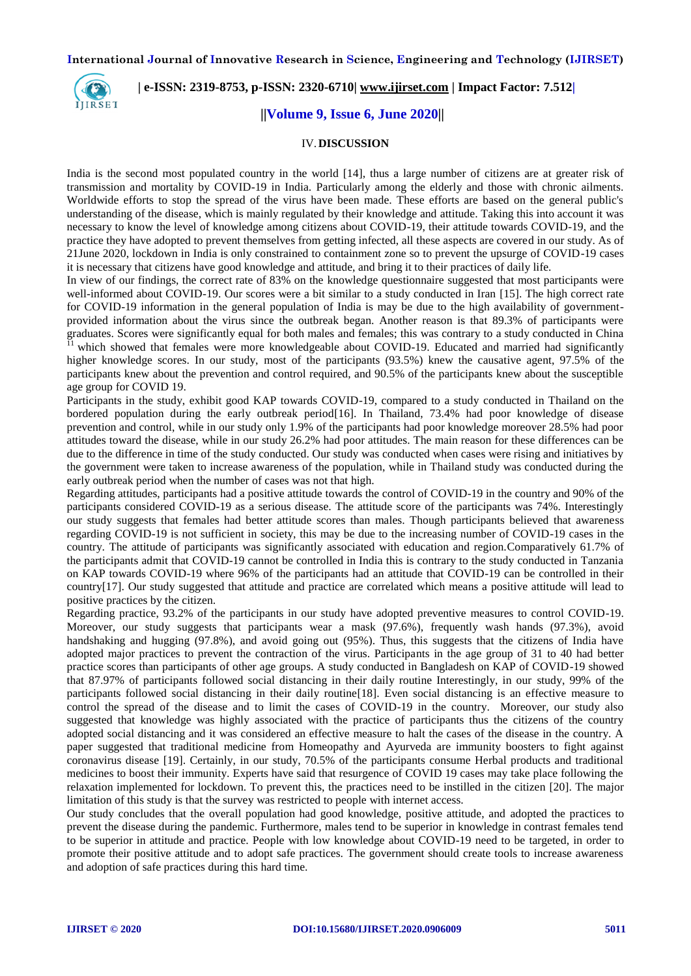

 **| e-ISSN: 2319-8753, p-ISSN: 2320-6710| [www.ijirset.com](http://www.ijirset.com/) | Impact Factor: 7.512|**

# **||Volume 9, Issue 6, June 2020||**

#### IV.**DISCUSSION**

India is the second most populated country in the world [14], thus a large number of citizens are at greater risk of transmission and mortality by COVID-19 in India. Particularly among the elderly and those with chronic ailments. Worldwide efforts to stop the spread of the virus have been made. These efforts are based on the general public's understanding of the disease, which is mainly regulated by their knowledge and attitude. Taking this into account it was necessary to know the level of knowledge among citizens about COVID-19, their attitude towards COVID-19, and the practice they have adopted to prevent themselves from getting infected, all these aspects are covered in our study. As of 21June 2020, lockdown in India is only constrained to containment zone so to prevent the upsurge of COVID-19 cases it is necessary that citizens have good knowledge and attitude, and bring it to their practices of daily life.

In view of our findings, the correct rate of 83% on the knowledge questionnaire suggested that most participants were well-informed about COVID-19. Our scores were a bit similar to a study conducted in Iran [15]. The high correct rate for COVID-19 information in the general population of India is may be due to the high availability of governmentprovided information about the virus since the outbreak began. Another reason is that 89.3% of participants were graduates. Scores were significantly equal for both males and females; this was contrary to a study conducted in China

<sup>11</sup> which showed that females were more knowledgeable about COVID-19. Educated and married had significantly higher knowledge scores. In our study, most of the participants (93.5%) knew the causative agent, 97.5% of the participants knew about the prevention and control required, and 90.5% of the participants knew about the susceptible age group for COVID 19.

Participants in the study, exhibit good KAP towards COVID-19, compared to a study conducted in Thailand on the bordered population during the early outbreak period[16]. In Thailand, 73.4% had poor knowledge of disease prevention and control, while in our study only 1.9% of the participants had poor knowledge moreover 28.5% had poor attitudes toward the disease, while in our study 26.2% had poor attitudes. The main reason for these differences can be due to the difference in time of the study conducted. Our study was conducted when cases were rising and initiatives by the government were taken to increase awareness of the population, while in Thailand study was conducted during the early outbreak period when the number of cases was not that high.

Regarding attitudes, participants had a positive attitude towards the control of COVID-19 in the country and 90% of the participants considered COVID-19 as a serious disease. The attitude score of the participants was 74%. Interestingly our study suggests that females had better attitude scores than males. Though participants believed that awareness regarding COVID-19 is not sufficient in society, this may be due to the increasing number of COVID-19 cases in the country. The attitude of participants was significantly associated with education and region.Comparatively 61.7% of the participants admit that COVID-19 cannot be controlled in India this is contrary to the study conducted in Tanzania on KAP towards COVID-19 where 96% of the participants had an attitude that COVID-19 can be controlled in their country[17]. Our study suggested that attitude and practice are correlated which means a positive attitude will lead to positive practices by the citizen.

Regarding practice, 93.2% of the participants in our study have adopted preventive measures to control COVID-19. Moreover, our study suggests that participants wear a mask (97.6%), frequently wash hands (97.3%), avoid handshaking and hugging (97.8%), and avoid going out (95%). Thus, this suggests that the citizens of India have adopted major practices to prevent the contraction of the virus. Participants in the age group of 31 to 40 had better practice scores than participants of other age groups. A study conducted in Bangladesh on KAP of COVID-19 showed that 87.97% of participants followed social distancing in their daily routine Interestingly, in our study, 99% of the participants followed social distancing in their daily routine[18]. Even social distancing is an effective measure to control the spread of the disease and to limit the cases of COVID-19 in the country. Moreover, our study also suggested that knowledge was highly associated with the practice of participants thus the citizens of the country adopted social distancing and it was considered an effective measure to halt the cases of the disease in the country. A paper suggested that traditional medicine from Homeopathy and Ayurveda are immunity boosters to fight against coronavirus disease [19]. Certainly, in our study, 70.5% of the participants consume Herbal products and traditional medicines to boost their immunity. Experts have said that resurgence of COVID 19 cases may take place following the relaxation implemented for lockdown. To prevent this, the practices need to be instilled in the citizen [20]. The major limitation of this study is that the survey was restricted to people with internet access.

Our study concludes that the overall population had good knowledge, positive attitude, and adopted the practices to prevent the disease during the pandemic. Furthermore, males tend to be superior in knowledge in contrast females tend to be superior in attitude and practice. People with low knowledge about COVID-19 need to be targeted, in order to promote their positive attitude and to adopt safe practices. The government should create tools to increase awareness and adoption of safe practices during this hard time.